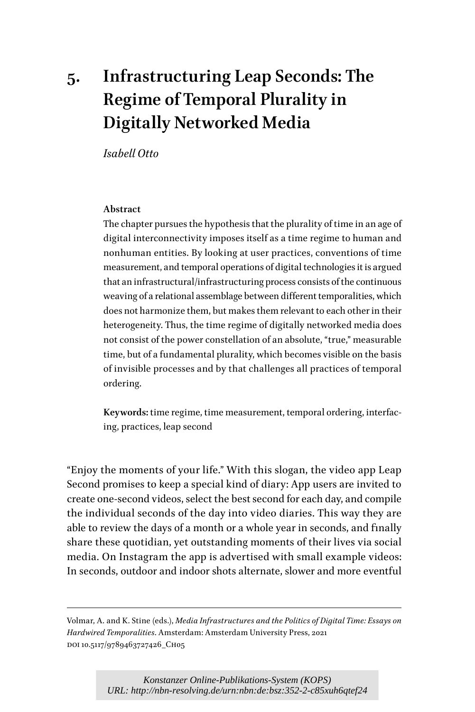# **5. Infrastructuring Leap Seconds: The Regime of Temporal Plurality in Digitally Networked Media**

*Isabell Otto*

#### **Abstract**

The chapter pursues the hypothesis that the plurality of time in an age of digital interconnectivity imposes itself as a time regime to human and nonhuman entities. By looking at user practices, conventions of time measurement, and temporal operations of digital technologies it is argued that an infrastructural/infrastructuring process consists of the continuous weaving of a relational assemblage between different temporalities, which does not harmonize them, but makes them relevant to each other in their heterogeneity. Thus, the time regime of digitally networked media does not consist of the power constellation of an absolute, "true," measurable time, but of a fundamental plurality, which becomes visible on the basis of invisible processes and by that challenges all practices of temporal ordering.

**Keywords:** time regime, time measurement, temporal ordering, interfacing, practices, leap second

"Enjoy the moments of your life." With this slogan, the video app Leap Second promises to keep a special kind of diary: App users are invited to create one-second videos, select the best second for each day, and compile the individual seconds of the day into video diaries. This way they are able to review the days of a month or a whole year in seconds, and finally share these quotidian, yet outstanding moments of their lives via social media. On Instagram the app is advertised with small example videos: In seconds, outdoor and indoor shots alternate, slower and more eventful

Volmar, A. and K. Stine (eds.), *Media Infrastructures and the Politics of Digital Time: Essays on Hardwired Temporalities*. Amsterdam: Amsterdam University Press, 2021 DOI 10.5117/9789463727426\_CH05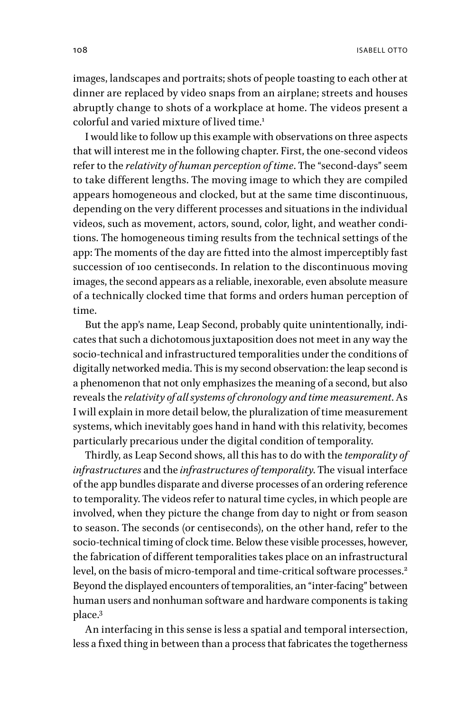108 ISABELL OTTO

images, landscapes and portraits; shots of people toasting to each other at dinner are replaced by video snaps from an airplane; streets and houses abruptly change to shots of a workplace at home. The videos present a colorful and varied mixture of lived time.<sup>1</sup>

I would like to follow up this example with observations on three aspects that will interest me in the following chapter. First, the one-second videos refer to the *relativity of human perception of time*. The "second-days" seem to take different lengths. The moving image to which they are compiled appears homogeneous and clocked, but at the same time discontinuous, depending on the very different processes and situations in the individual videos, such as movement, actors, sound, color, light, and weather conditions. The homogeneous timing results from the technical settings of the app: The moments of the day are fitted into the almost imperceptibly fast succession of 100 centiseconds. In relation to the discontinuous moving images, the second appears as a reliable, inexorable, even absolute measure of a technically clocked time that forms and orders human perception of time.

But the app's name, Leap Second, probably quite unintentionally, indicates that such a dichotomous juxtaposition does not meet in any way the socio-technical and infrastructured temporalities under the conditions of digitally networked media. This is my second observation: the leap second is a phenomenon that not only emphasizes the meaning of a second, but also reveals the *relativity of all systems of chronology and time measurement*. As I will explain in more detail below, the pluralization of time measurement systems, which inevitably goes hand in hand with this relativity, becomes particularly precarious under the digital condition of temporality.

Thirdly, as Leap Second shows, all this has to do with the *temporality of infrastructures* and the *infrastructures of temporality*. The visual interface of the app bundles disparate and diverse processes of an ordering reference to temporality. The videos refer to natural time cycles, in which people are involved, when they picture the change from day to night or from season to season. The seconds (or centiseconds), on the other hand, refer to the socio-technical timing of clock time. Below these visible processes, however, the fabrication of different temporalities takes place on an infrastructural level, on the basis of micro-temporal and time-critical software processes.<sup>2</sup> Beyond the displayed encounters of temporalities, an "inter-facing" between human users and nonhuman software and hardware components is taking place.3

An interfacing in this sense is less a spatial and temporal intersection, less a fixed thing in between than a process that fabricates the togetherness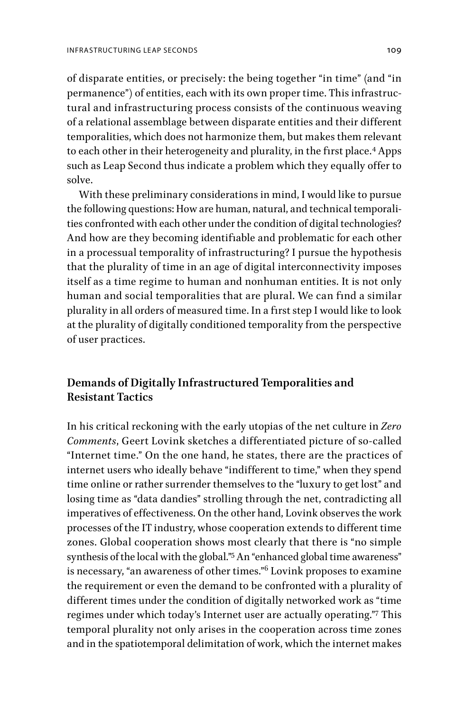of disparate entities, or precisely: the being together "in time" (and "in permanence") of entities, each with its own proper time. This infrastructural and infrastructuring process consists of the continuous weaving of a relational assemblage between disparate entities and their different temporalities, which does not harmonize them, but makes them relevant to each other in their heterogeneity and plurality, in the first place.<sup>4</sup> Apps such as Leap Second thus indicate a problem which they equally offer to solve.

With these preliminary considerations in mind, I would like to pursue the following questions: How are human, natural, and technical temporalities confronted with each other under the condition of digital technologies? And how are they becoming identifiable and problematic for each other in a processual temporality of infrastructuring? I pursue the hypothesis that the plurality of time in an age of digital interconnectivity imposes itself as a time regime to human and nonhuman entities. It is not only human and social temporalities that are plural. We can find a similar plurality in all orders of measured time. In a first step I would like to look at the plurality of digitally conditioned temporality from the perspective of user practices.

## **Demands of Digitally Infrastructured Temporalities and Resistant Tactics**

In his critical reckoning with the early utopias of the net culture in *Zero Comments*, Geert Lovink sketches a differentiated picture of so-called "Internet time." On the one hand, he states, there are the practices of internet users who ideally behave "indifferent to time," when they spend time online or rather surrender themselves to the "luxury to get lost" and losing time as "data dandies" strolling through the net, contradicting all imperatives of effectiveness. On the other hand, Lovink observes the work processes of the IT industry, whose cooperation extends to different time zones. Global cooperation shows most clearly that there is "no simple synthesis of the local with the global."5 An "enhanced global time awareness" is necessary, "an awareness of other times."6 Lovink proposes to examine the requirement or even the demand to be confronted with a plurality of different times under the condition of digitally networked work as "time regimes under which today's Internet user are actually operating."7 This temporal plurality not only arises in the cooperation across time zones and in the spatiotemporal delimitation of work, which the internet makes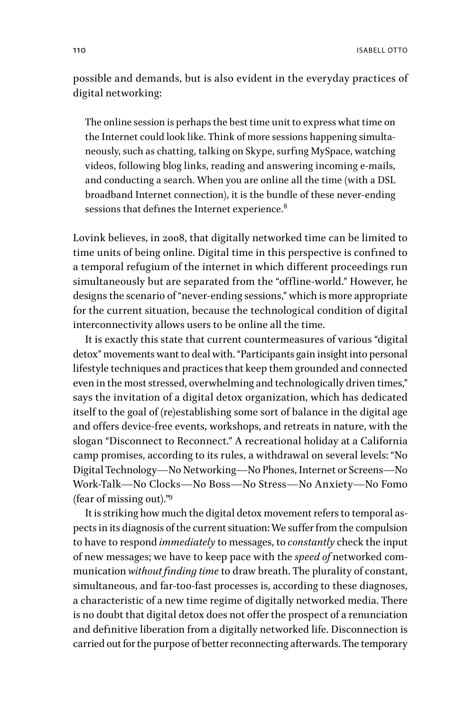possible and demands, but is also evident in the everyday practices of digital networking:

The online session is perhaps the best time unit to express what time on the Internet could look like. Think of more sessions happening simultaneously, such as chatting, talking on Skype, surfing MySpace, watching videos, following blog links, reading and answering incoming e-mails, and conducting a search. When you are online all the time (with a DSL broadband Internet connection), it is the bundle of these never-ending sessions that defines the Internet experience.<sup>8</sup>

Lovink believes, in 2008, that digitally networked time can be limited to time units of being online. Digital time in this perspective is confined to a temporal refugium of the internet in which different proceedings run simultaneously but are separated from the "offline-world." However, he designs the scenario of "never-ending sessions," which is more appropriate for the current situation, because the technological condition of digital interconnectivity allows users to be online all the time.

It is exactly this state that current countermeasures of various "digital detox" movements want to deal with. "Participants gain insight into personal lifestyle techniques and practices that keep them grounded and connected even in the most stressed, overwhelming and technologically driven times," says the invitation of a digital detox organization, which has dedicated itself to the goal of (re)establishing some sort of balance in the digital age and offers device-free events, workshops, and retreats in nature, with the slogan "Disconnect to Reconnect." A recreational holiday at a California camp promises, according to its rules, a withdrawal on several levels: "No Digital Technology—No Networking—No Phones, Internet or Screens—No Work-Talk—No Clocks—No Boss—No Stress—No Anxiety—No Fomo (fear of missing out)."9

It is striking how much the digital detox movement refers to temporal aspects in its diagnosis of the current situation: We suffer from the compulsion to have to respond *immediately* to messages, to *constantly* check the input of new messages; we have to keep pace with the *speed of* networked communication *without finding time* to draw breath. The plurality of constant, simultaneous, and far-too-fast processes is, according to these diagnoses, a characteristic of a new time regime of digitally networked media. There is no doubt that digital detox does not offer the prospect of a renunciation and definitive liberation from a digitally networked life. Disconnection is carried out for the purpose of better reconnecting afterwards. The temporary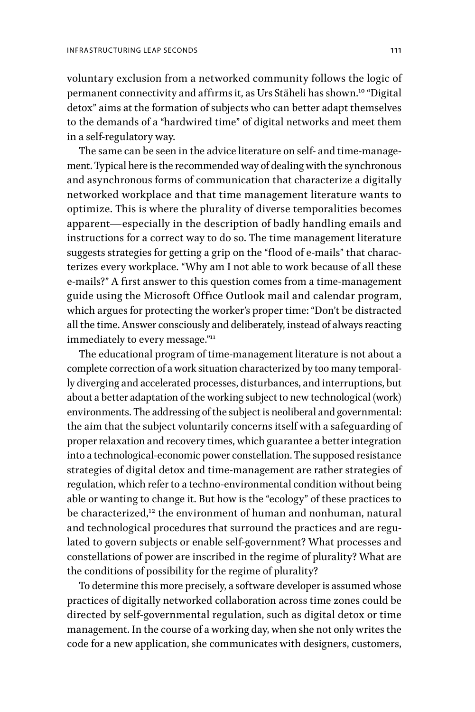voluntary exclusion from a networked community follows the logic of permanent connectivity and affirms it, as Urs Stäheli has shown.10 "Digital detox" aims at the formation of subjects who can better adapt themselves to the demands of a "hardwired time" of digital networks and meet them in a self-regulatory way.

The same can be seen in the advice literature on self- and time-management. Typical here is the recommended way of dealing with the synchronous and asynchronous forms of communication that characterize a digitally networked workplace and that time management literature wants to optimize. This is where the plurality of diverse temporalities becomes apparent—especially in the description of badly handling emails and instructions for a correct way to do so. The time management literature suggests strategies for getting a grip on the "flood of e-mails" that characterizes every workplace. "Why am I not able to work because of all these e-mails?" A first answer to this question comes from a time-management guide using the Microsoft Office Outlook mail and calendar program, which argues for protecting the worker's proper time: "Don't be distracted all the time. Answer consciously and deliberately, instead of always reacting immediately to every message."<sup>11</sup>

The educational program of time-management literature is not about a complete correction of a work situation characterized by too many temporally diverging and accelerated processes, disturbances, and interruptions, but about a better adaptation of the working subject to new technological (work) environments. The addressing of the subject is neoliberal and governmental: the aim that the subject voluntarily concerns itself with a safeguarding of proper relaxation and recovery times, which guarantee a better integration into a technological-economic power constellation. The supposed resistance strategies of digital detox and time-management are rather strategies of regulation, which refer to a techno-environmental condition without being able or wanting to change it. But how is the "ecology" of these practices to be characterized,<sup>12</sup> the environment of human and nonhuman, natural and technological procedures that surround the practices and are regulated to govern subjects or enable self-government? What processes and constellations of power are inscribed in the regime of plurality? What are the conditions of possibility for the regime of plurality?

To determine this more precisely, a software developer is assumed whose practices of digitally networked collaboration across time zones could be directed by self-governmental regulation, such as digital detox or time management. In the course of a working day, when she not only writes the code for a new application, she communicates with designers, customers,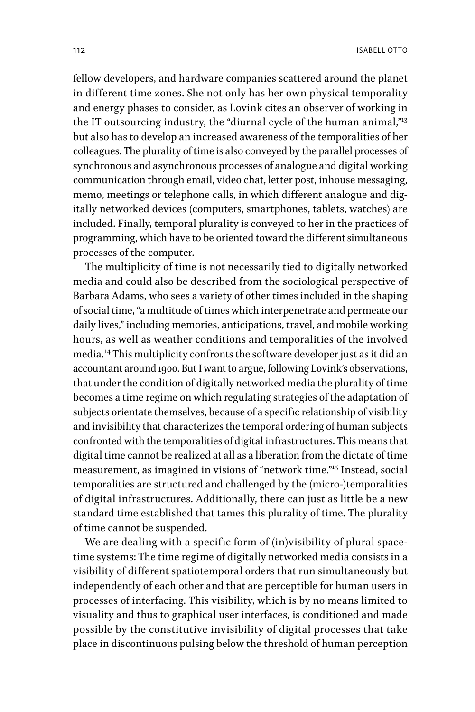fellow developers, and hardware companies scattered around the planet in different time zones. She not only has her own physical temporality and energy phases to consider, as Lovink cites an observer of working in the IT outsourcing industry, the "diurnal cycle of the human animal,"<sup>13</sup> but also has to develop an increased awareness of the temporalities of her colleagues. The plurality of time is also conveyed by the parallel processes of synchronous and asynchronous processes of analogue and digital working communication through email, video chat, letter post, inhouse messaging, memo, meetings or telephone calls, in which different analogue and digitally networked devices (computers, smartphones, tablets, watches) are included. Finally, temporal plurality is conveyed to her in the practices of programming, which have to be oriented toward the different simultaneous processes of the computer.

The multiplicity of time is not necessarily tied to digitally networked media and could also be described from the sociological perspective of Barbara Adams, who sees a variety of other times included in the shaping of social time, "a multitude of times which interpenetrate and permeate our daily lives," including memories, anticipations, travel, and mobile working hours, as well as weather conditions and temporalities of the involved media.14 This multiplicity confronts the software developer just as it did an accountant around 1900. But I want to argue, following Lovink's observations, that under the condition of digitally networked media the plurality of time becomes a time regime on which regulating strategies of the adaptation of subjects orientate themselves, because of a specific relationship of visibility and invisibility that characterizes the temporal ordering of human subjects confronted with the temporalities of digital infrastructures. This means that digital time cannot be realized at all as a liberation from the dictate of time measurement, as imagined in visions of "network time."15 Instead, social temporalities are structured and challenged by the (micro-)temporalities of digital infrastructures. Additionally, there can just as little be a new standard time established that tames this plurality of time. The plurality of time cannot be suspended.

We are dealing with a specific form of (in)visibility of plural spacetime systems: The time regime of digitally networked media consists in a visibility of different spatiotemporal orders that run simultaneously but independently of each other and that are perceptible for human users in processes of interfacing. This visibility, which is by no means limited to visuality and thus to graphical user interfaces, is conditioned and made possible by the constitutive invisibility of digital processes that take place in discontinuous pulsing below the threshold of human perception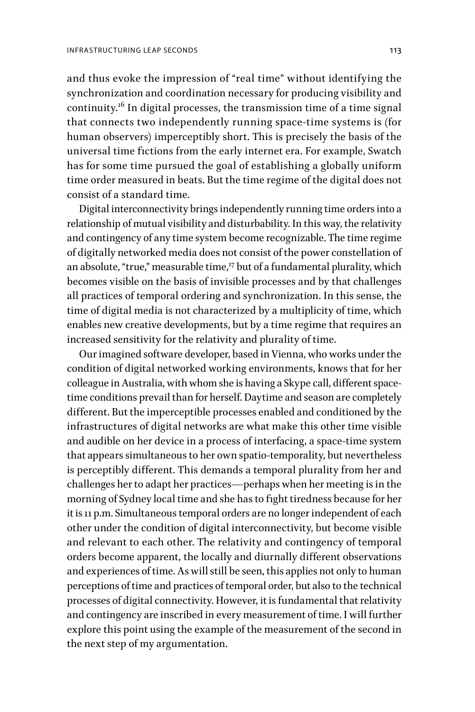and thus evoke the impression of "real time" without identifying the synchronization and coordination necessary for producing visibility and continuity.16 In digital processes, the transmission time of a time signal that connects two independently running space-time systems is (for human observers) imperceptibly short. This is precisely the basis of the universal time fictions from the early internet era. For example, Swatch has for some time pursued the goal of establishing a globally uniform time order measured in beats. But the time regime of the digital does not consist of a standard time.

Digital interconnectivity brings independently running time orders into a relationship of mutual visibility and disturbability. In this way, the relativity and contingency of any time system become recognizable. The time regime of digitally networked media does not consist of the power constellation of an absolute, "true," measurable time,<sup>17</sup> but of a fundamental plurality, which becomes visible on the basis of invisible processes and by that challenges all practices of temporal ordering and synchronization. In this sense, the time of digital media is not characterized by a multiplicity of time, which enables new creative developments, but by a time regime that requires an increased sensitivity for the relativity and plurality of time.

Our imagined software developer, based in Vienna, who works under the condition of digital networked working environments, knows that for her colleague in Australia, with whom she is having a Skype call, different spacetime conditions prevail than for herself. Daytime and season are completely different. But the imperceptible processes enabled and conditioned by the infrastructures of digital networks are what make this other time visible and audible on her device in a process of interfacing, a space-time system that appears simultaneous to her own spatio-temporality, but nevertheless is perceptibly different. This demands a temporal plurality from her and challenges her to adapt her practices—perhaps when her meeting is in the morning of Sydney local time and she has to fight tiredness because for her it is 11 p.m. Simultaneous temporal orders are no longer independent of each other under the condition of digital interconnectivity, but become visible and relevant to each other. The relativity and contingency of temporal orders become apparent, the locally and diurnally different observations and experiences of time. As will still be seen, this applies not only to human perceptions of time and practices of temporal order, but also to the technical processes of digital connectivity. However, it is fundamental that relativity and contingency are inscribed in every measurement of time. I will further explore this point using the example of the measurement of the second in the next step of my argumentation.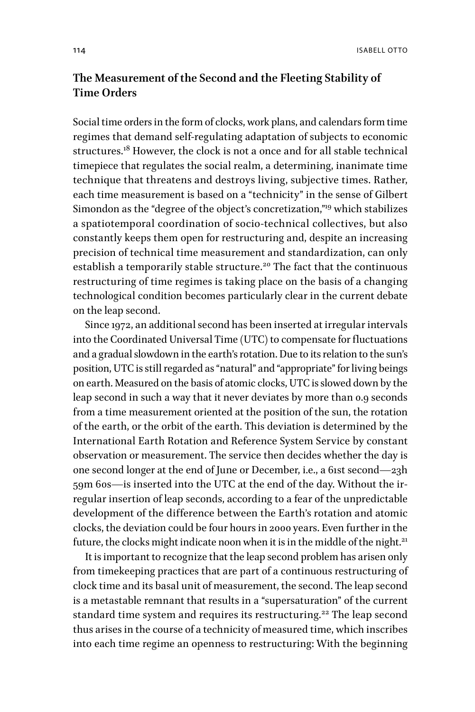# **The Measurement of the Second and the Fleeting Stability of Time Orders**

Social time orders in the form of clocks, work plans, and calendars form time regimes that demand self-regulating adaptation of subjects to economic structures.<sup>18</sup> However, the clock is not a once and for all stable technical timepiece that regulates the social realm, a determining, inanimate time technique that threatens and destroys living, subjective times. Rather, each time measurement is based on a "technicity" in the sense of Gilbert Simondon as the "degree of the object's concretization,"19 which stabilizes a spatiotemporal coordination of socio-technical collectives, but also constantly keeps them open for restructuring and, despite an increasing precision of technical time measurement and standardization, can only establish a temporarily stable structure.<sup>20</sup> The fact that the continuous restructuring of time regimes is taking place on the basis of a changing technological condition becomes particularly clear in the current debate on the leap second.

Since 1972, an additional second has been inserted at irregular intervals into the Coordinated Universal Time (UTC) to compensate for fluctuations and a gradual slowdown in the earth's rotation. Due to its relation to the sun's position, UTC is still regarded as "natural" and "appropriate" for living beings on earth. Measured on the basis of atomic clocks, UTC is slowed down by the leap second in such a way that it never deviates by more than 0.9 seconds from a time measurement oriented at the position of the sun, the rotation of the earth, or the orbit of the earth. This deviation is determined by the International Earth Rotation and Reference System Service by constant observation or measurement. The service then decides whether the day is one second longer at the end of June or December, i.e., a 61st second—23h 59m 60s—is inserted into the UTC at the end of the day. Without the irregular insertion of leap seconds, according to a fear of the unpredictable development of the difference between the Earth's rotation and atomic clocks, the deviation could be four hours in 2000 years. Even further in the future, the clocks might indicate noon when it is in the middle of the night.<sup>21</sup>

It is important to recognize that the leap second problem has arisen only from timekeeping practices that are part of a continuous restructuring of clock time and its basal unit of measurement, the second. The leap second is a metastable remnant that results in a "supersaturation" of the current standard time system and requires its restructuring.<sup>22</sup> The leap second thus arises in the course of a technicity of measured time, which inscribes into each time regime an openness to restructuring: With the beginning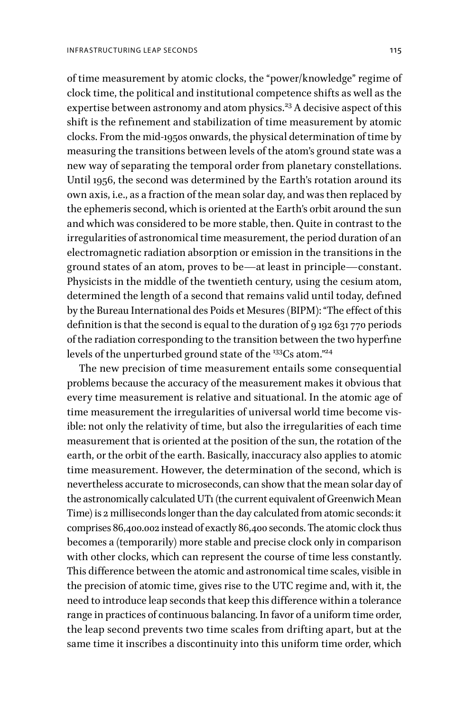of time measurement by atomic clocks, the "power/knowledge" regime of clock time, the political and institutional competence shifts as well as the expertise between astronomy and atom physics.<sup>23</sup> A decisive aspect of this shift is the refinement and stabilization of time measurement by atomic clocks. From the mid-1950s onwards, the physical determination of time by measuring the transitions between levels of the atom's ground state was a new way of separating the temporal order from planetary constellations. Until 1956, the second was determined by the Earth's rotation around its own axis, i.e., as a fraction of the mean solar day, and was then replaced by the ephemeris second, which is oriented at the Earth's orbit around the sun and which was considered to be more stable, then. Quite in contrast to the irregularities of astronomical time measurement, the period duration of an electromagnetic radiation absorption or emission in the transitions in the ground states of an atom, proves to be—at least in principle—constant. Physicists in the middle of the twentieth century, using the cesium atom, determined the length of a second that remains valid until today, defined by the Bureau International des Poids et Mesures (BIPM): "The effect of this definition is that the second is equal to the duration of 9 192 631 770 periods of the radiation corresponding to the transition between the two hyperfine levels of the unperturbed ground state of the <sup>133</sup>Cs atom."<sup>24</sup>

The new precision of time measurement entails some consequential problems because the accuracy of the measurement makes it obvious that every time measurement is relative and situational. In the atomic age of time measurement the irregularities of universal world time become visible: not only the relativity of time, but also the irregularities of each time measurement that is oriented at the position of the sun, the rotation of the earth, or the orbit of the earth. Basically, inaccuracy also applies to atomic time measurement. However, the determination of the second, which is nevertheless accurate to microseconds, can show that the mean solar day of the astronomically calculated UT1 (the current equivalent of Greenwich Mean Time) is 2 milliseconds longer than the day calculated from atomic seconds: it comprises 86,400.002 instead of exactly 86,400 seconds. The atomic clock thus becomes a (temporarily) more stable and precise clock only in comparison with other clocks, which can represent the course of time less constantly. This difference between the atomic and astronomical time scales, visible in the precision of atomic time, gives rise to the UTC regime and, with it, the need to introduce leap seconds that keep this difference within a tolerance range in practices of continuous balancing. In favor of a uniform time order, the leap second prevents two time scales from drifting apart, but at the same time it inscribes a discontinuity into this uniform time order, which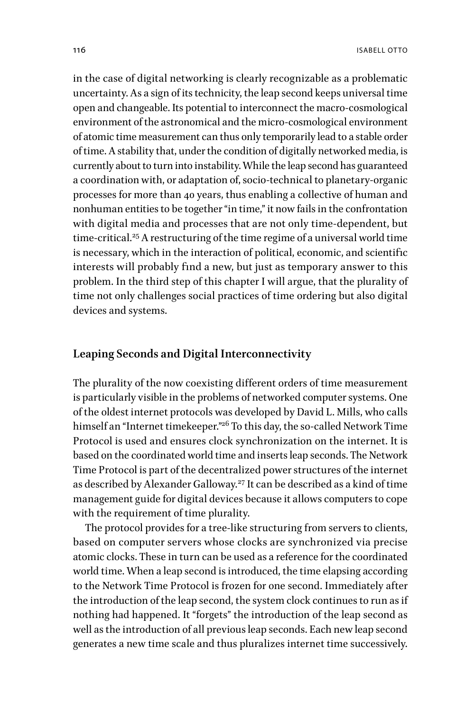in the case of digital networking is clearly recognizable as a problematic uncertainty. As a sign of its technicity, the leap second keeps universal time open and changeable. Its potential to interconnect the macro-cosmological environment of the astronomical and the micro-cosmological environment of atomic time measurement can thus only temporarily lead to a stable order of time. A stability that, under the condition of digitally networked media, is currently about to turn into instability. While the leap second has guaranteed a coordination with, or adaptation of, socio-technical to planetary-organic processes for more than 40 years, thus enabling a collective of human and nonhuman entities to be together "in time," it now fails in the confrontation with digital media and processes that are not only time-dependent, but time-critical.<sup>25</sup> A restructuring of the time regime of a universal world time is necessary, which in the interaction of political, economic, and scientific interests will probably find a new, but just as temporary answer to this problem. In the third step of this chapter I will argue, that the plurality of time not only challenges social practices of time ordering but also digital devices and systems.

#### **Leaping Seconds and Digital Interconnectivity**

The plurality of the now coexisting different orders of time measurement is particularly visible in the problems of networked computer systems. One of the oldest internet protocols was developed by David L. Mills, who calls himself an "Internet timekeeper."<sup>26</sup> To this day, the so-called Network Time Protocol is used and ensures clock synchronization on the internet. It is based on the coordinated world time and inserts leap seconds. The Network Time Protocol is part of the decentralized power structures of the internet as described by Alexander Galloway.<sup>27</sup> It can be described as a kind of time management guide for digital devices because it allows computers to cope with the requirement of time plurality.

The protocol provides for a tree-like structuring from servers to clients, based on computer servers whose clocks are synchronized via precise atomic clocks. These in turn can be used as a reference for the coordinated world time. When a leap second is introduced, the time elapsing according to the Network Time Protocol is frozen for one second. Immediately after the introduction of the leap second, the system clock continues to run as if nothing had happened. It "forgets" the introduction of the leap second as well as the introduction of all previous leap seconds. Each new leap second generates a new time scale and thus pluralizes internet time successively.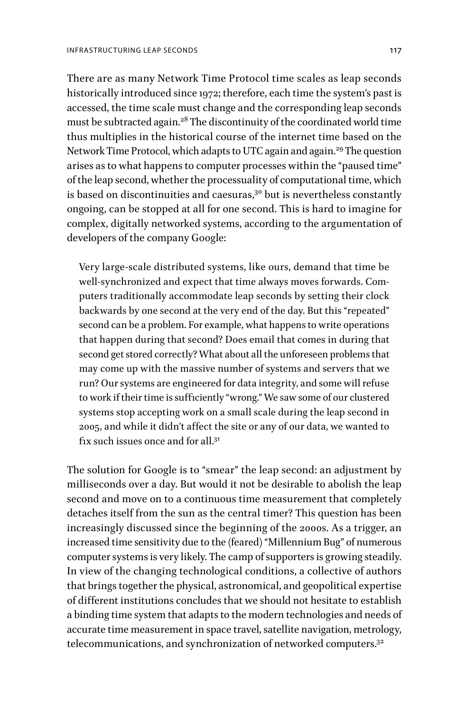There are as many Network Time Protocol time scales as leap seconds historically introduced since 1972; therefore, each time the system's past is accessed, the time scale must change and the corresponding leap seconds must be subtracted again.28 The discontinuity of the coordinated world time thus multiplies in the historical course of the internet time based on the Network Time Protocol, which adapts to UTC again and again.<sup>29</sup> The question arises as to what happens to computer processes within the "paused time" of the leap second, whether the processuality of computational time, which is based on discontinuities and caesuras, $30$  but is nevertheless constantly ongoing, can be stopped at all for one second. This is hard to imagine for complex, digitally networked systems, according to the argumentation of developers of the company Google:

Very large-scale distributed systems, like ours, demand that time be well-synchronized and expect that time always moves forwards. Computers traditionally accommodate leap seconds by setting their clock backwards by one second at the very end of the day. But this "repeated" second can be a problem. For example, what happens to write operations that happen during that second? Does email that comes in during that second get stored correctly? What about all the unforeseen problems that may come up with the massive number of systems and servers that we run? Our systems are engineered for data integrity, and some will refuse to work if their time is sufficiently "wrong." We saw some of our clustered systems stop accepting work on a small scale during the leap second in 2005, and while it didn't affect the site or any of our data, we wanted to fix such issues once and for all.<sup>31</sup>

The solution for Google is to "smear" the leap second: an adjustment by milliseconds over a day. But would it not be desirable to abolish the leap second and move on to a continuous time measurement that completely detaches itself from the sun as the central timer? This question has been increasingly discussed since the beginning of the 2000s. As a trigger, an increased time sensitivity due to the (feared) "Millennium Bug" of numerous computer systems is very likely. The camp of supporters is growing steadily. In view of the changing technological conditions, a collective of authors that brings together the physical, astronomical, and geopolitical expertise of different institutions concludes that we should not hesitate to establish a binding time system that adapts to the modern technologies and needs of accurate time measurement in space travel, satellite navigation, metrology, telecommunications, and synchronization of networked computers.<sup>32</sup>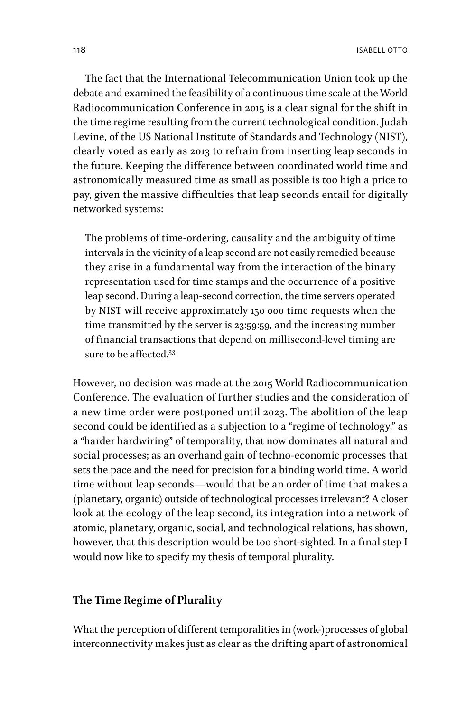118 ISABELL OTTO

The fact that the International Telecommunication Union took up the debate and examined the feasibility of a continuous time scale at the World Radiocommunication Conference in 2015 is a clear signal for the shift in the time regime resulting from the current technological condition. Judah Levine, of the US National Institute of Standards and Technology (NIST), clearly voted as early as 2013 to refrain from inserting leap seconds in the future. Keeping the difference between coordinated world time and astronomically measured time as small as possible is too high a price to pay, given the massive difficulties that leap seconds entail for digitally networked systems:

The problems of time-ordering, causality and the ambiguity of time intervals in the vicinity of a leap second are not easily remedied because they arise in a fundamental way from the interaction of the binary representation used for time stamps and the occurrence of a positive leap second. During a leap-second correction, the time servers operated by NIST will receive approximately 150 000 time requests when the time transmitted by the server is 23:59:59, and the increasing number of financial transactions that depend on millisecond-level timing are sure to be affected 33

However, no decision was made at the 2015 World Radiocommunication Conference. The evaluation of further studies and the consideration of a new time order were postponed until 2023. The abolition of the leap second could be identified as a subjection to a "regime of technology," as a "harder hardwiring" of temporality, that now dominates all natural and social processes; as an overhand gain of techno-economic processes that sets the pace and the need for precision for a binding world time. A world time without leap seconds—would that be an order of time that makes a (planetary, organic) outside of technological processes irrelevant? A closer look at the ecology of the leap second, its integration into a network of atomic, planetary, organic, social, and technological relations, has shown, however, that this description would be too short-sighted. In a final step I would now like to specify my thesis of temporal plurality.

#### **The Time Regime of Plurality**

What the perception of different temporalities in (work-)processes of global interconnectivity makes just as clear as the drifting apart of astronomical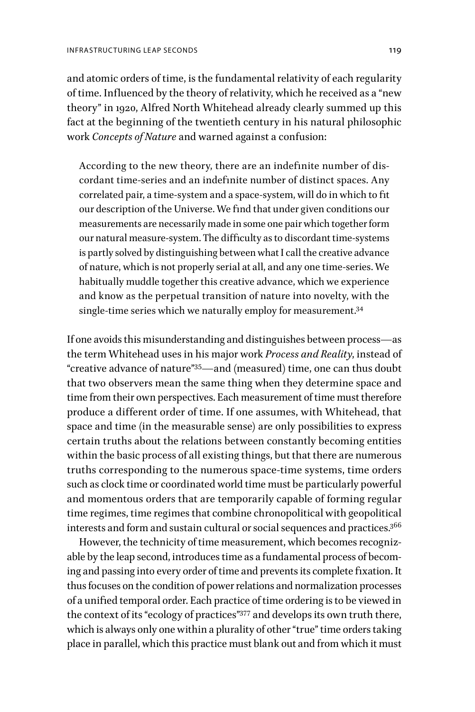and atomic orders of time, is the fundamental relativity of each regularity of time. Influenced by the theory of relativity, which he received as a "new theory" in 1920, Alfred North Whitehead already clearly summed up this fact at the beginning of the twentieth century in his natural philosophic work *Concepts of Nature* and warned against a confusion:

According to the new theory, there are an indefinite number of discordant time-series and an indefinite number of distinct spaces. Any correlated pair, a time-system and a space-system, will do in which to fit our description of the Universe. We find that under given conditions our measurements are necessarily made in some one pair which together form our natural measure-system. The difficulty as to discordant time-systems is partly solved by distinguishing between what I call the creative advance of nature, which is not properly serial at all, and any one time-series. We habitually muddle together this creative advance, which we experience and know as the perpetual transition of nature into novelty, with the single-time series which we naturally employ for measurement.<sup>34</sup>

If one avoids this misunderstanding and distinguishes between process—as the term Whitehead uses in his major work *Process and Reality*, instead of "creative advance of nature"35—and (measured) time, one can thus doubt that two observers mean the same thing when they determine space and time from their own perspectives. Each measurement of time must therefore produce a different order of time. If one assumes, with Whitehead, that space and time (in the measurable sense) are only possibilities to express certain truths about the relations between constantly becoming entities within the basic process of all existing things, but that there are numerous truths corresponding to the numerous space-time systems, time orders such as clock time or coordinated world time must be particularly powerful and momentous orders that are temporarily capable of forming regular time regimes, time regimes that combine chronopolitical with geopolitical interests and form and sustain cultural or social sequences and practices.<sup>366</sup>

However, the technicity of time measurement, which becomes recognizable by the leap second, introduces time as a fundamental process of becoming and passing into every order of time and prevents its complete fixation. It thus focuses on the condition of power relations and normalization processes of a unified temporal order. Each practice of time ordering is to be viewed in the context of its "ecology of practices"377 and develops its own truth there, which is always only one within a plurality of other "true" time orders taking place in parallel, which this practice must blank out and from which it must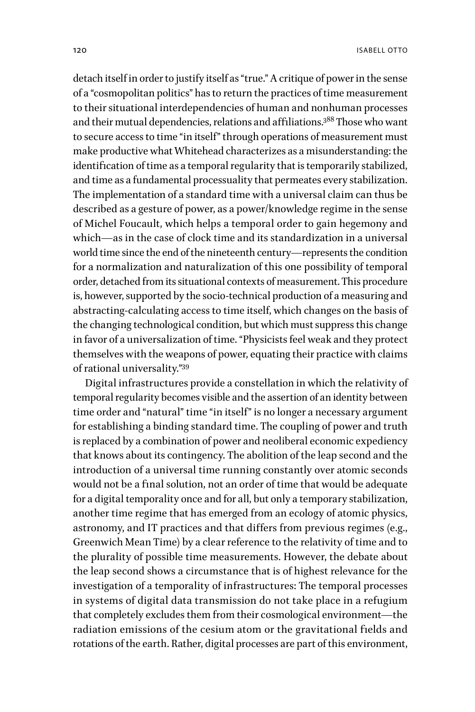detach itself in order to justify itself as "true." A critique of power in the sense of a "cosmopolitan politics" has to return the practices of time measurement to their situational interdependencies of human and nonhuman processes and their mutual dependencies, relations and affiliations.388 Those who want to secure access to time "in itself" through operations of measurement must make productive what Whitehead characterizes as a misunderstanding: the identification of time as a temporal regularity that is temporarily stabilized, and time as a fundamental processuality that permeates every stabilization. The implementation of a standard time with a universal claim can thus be described as a gesture of power, as a power/knowledge regime in the sense of Michel Foucault, which helps a temporal order to gain hegemony and which—as in the case of clock time and its standardization in a universal world time since the end of the nineteenth century—represents the condition for a normalization and naturalization of this one possibility of temporal order, detached from its situational contexts of measurement. This procedure is, however, supported by the socio-technical production of a measuring and abstracting-calculating access to time itself, which changes on the basis of the changing technological condition, but which must suppress this change in favor of a universalization of time. "Physicists feel weak and they protect themselves with the weapons of power, equating their practice with claims of rational universality."39

Digital infrastructures provide a constellation in which the relativity of temporal regularity becomes visible and the assertion of an identity between time order and "natural" time "in itself" is no longer a necessary argument for establishing a binding standard time. The coupling of power and truth is replaced by a combination of power and neoliberal economic expediency that knows about its contingency. The abolition of the leap second and the introduction of a universal time running constantly over atomic seconds would not be a final solution, not an order of time that would be adequate for a digital temporality once and for all, but only a temporary stabilization, another time regime that has emerged from an ecology of atomic physics, astronomy, and IT practices and that differs from previous regimes (e.g., Greenwich Mean Time) by a clear reference to the relativity of time and to the plurality of possible time measurements. However, the debate about the leap second shows a circumstance that is of highest relevance for the investigation of a temporality of infrastructures: The temporal processes in systems of digital data transmission do not take place in a refugium that completely excludes them from their cosmological environment—the radiation emissions of the cesium atom or the gravitational fields and rotations of the earth. Rather, digital processes are part of this environment,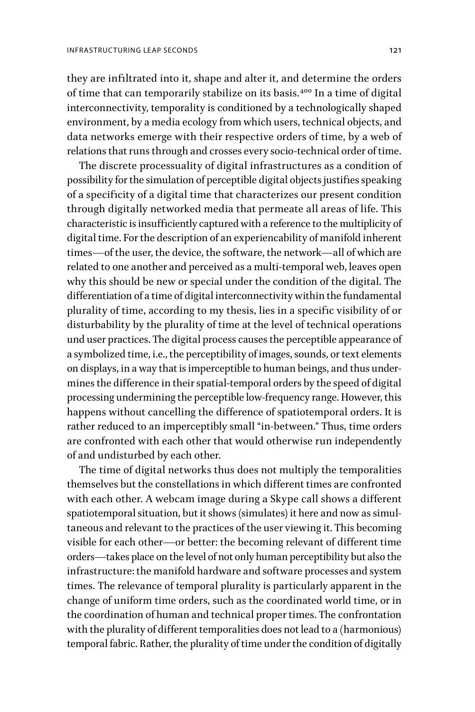they are infiltrated into it, shape and alter it, and determine the orders of time that can temporarily stabilize on its basis.400 In a time of digital interconnectivity, temporality is conditioned by a technologically shaped environment, by a media ecology from which users, technical objects, and data networks emerge with their respective orders of time, by a web of relations that runs through and crosses every socio-technical order of time.

The discrete processuality of digital infrastructures as a condition of possibility for the simulation of perceptible digital objects justifies speaking of a specificity of a digital time that characterizes our present condition through digitally networked media that permeate all areas of life. This characteristic is insufficiently captured with a reference to the multiplicity of digital time. For the description of an experiencability of manifold inherent times—of the user, the device, the software, the network—all of which are related to one another and perceived as a multi-temporal web, leaves open why this should be new or special under the condition of the digital. The differentiation of a time of digital interconnectivity within the fundamental plurality of time, according to my thesis, lies in a specific visibility of or disturbability by the plurality of time at the level of technical operations und user practices. The digital process causes the perceptible appearance of a symbolized time, i.e., the perceptibility of images, sounds, or text elements on displays, in a way that is imperceptible to human beings, and thus undermines the difference in their spatial-temporal orders by the speed of digital processing undermining the perceptible low-frequency range. However, this happens without cancelling the difference of spatiotemporal orders. It is rather reduced to an imperceptibly small "in-between." Thus, time orders are confronted with each other that would otherwise run independently of and undisturbed by each other.

The time of digital networks thus does not multiply the temporalities themselves but the constellations in which different times are confronted with each other. A webcam image during a Skype call shows a different spatiotemporal situation, but it shows (simulates) it here and now as simultaneous and relevant to the practices of the user viewing it. This becoming visible for each other—or better: the becoming relevant of different time orders—takes place on the level of not only human perceptibility but also the infrastructure: the manifold hardware and software processes and system times. The relevance of temporal plurality is particularly apparent in the change of uniform time orders, such as the coordinated world time, or in the coordination of human and technical proper times. The confrontation with the plurality of different temporalities does not lead to a (harmonious) temporal fabric. Rather, the plurality of time under the condition of digitally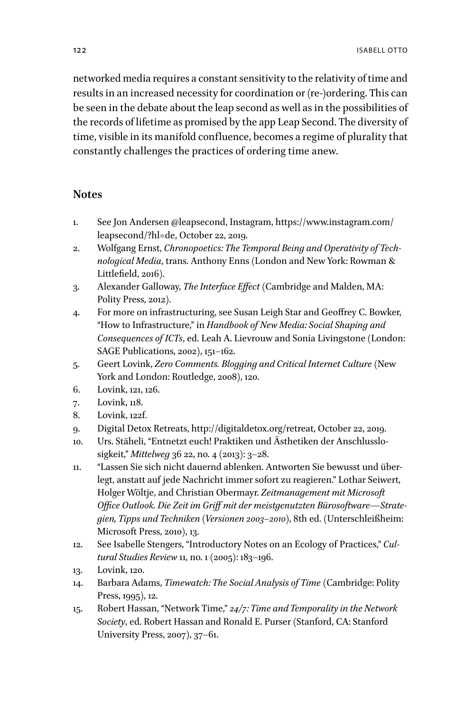networked media requires a constant sensitivity to the relativity of time and results in an increased necessity for coordination or (re-)ordering. This can be seen in the debate about the leap second as well as in the possibilities of the records of lifetime as promised by the app Leap Second. The diversity of time, visible in its manifold confluence, becomes a regime of plurality that constantly challenges the practices of ordering time anew.

#### **Notes**

- 1. See Jon Andersen @leapsecond, Instagram, [https://www.instagram.com/](https://www.instagram.com/leapsecond/?hl=de) [leapsecond/?hl=de](https://www.instagram.com/leapsecond/?hl=de), October 22, 2019.
- 2. Wolfgang Ernst, *Chronopoetics: The Temporal Being and Operativity of Technological Media*, trans. Anthony Enns (London and New York: Rowman & Littlefield, 2016).
- 3. Alexander Galloway, *The Interface Effect* (Cambridge and Malden, MA: Polity Press, 2012).
- 4. For more on infrastructuring, see Susan Leigh Star and Geoffrey C. Bowker, "How to Infrastructure," in *Handbook of New Media: Social Shaping and Consequences of ICTs*, ed. Leah A. Lievrouw and Sonia Livingstone (London: SAGE Publications, 2002), 151–162.
- 5. Geert Lovink, *Zero Comments. Blogging and Critical Internet Culture* (New York and London: Routledge, 2008), 120.
- 6. Lovink, 121, 126.
- 7. Lovink, 118.
- 8. Lovink, 122f.
- 9. Digital Detox Retreats,<http://digitaldetox.org/retreat>, October 22, 2019.
- 10. Urs. Stäheli, "Entnetzt euch! Praktiken und Ästhetiken der Anschlusslosigkeit," *Mittelweg* 36 22, no. 4 (2013): 3–28.
- 11. "Lassen Sie sich nicht dauernd ablenken. Antworten Sie bewusst und überlegt, anstatt auf jede Nachricht immer sofort zu reagieren." Lothar Seiwert, Holger Wöltje, and Christian Obermayr. *Zeitmanagement mit Microsoft Office Outlook. Die Zeit im Griff mit der meistgenutzten Bürosoftware—Strategien, Tipps und Techniken (Versionen 2003–2010)*, 8th ed. (Unterschleißheim: Microsoft Press, 2010), 13.
- 12. See Isabelle Stengers, "Introductory Notes on an Ecology of Practices," *Cultural Studies Review* 11, no. 1 (2005): 183–196.
- 13. Lovink, 120.
- 14. Barbara Adams, *Timewatch: The Social Analysis of Time* (Cambridge: Polity Press, 1995), 12.
- 15. Robert Hassan, "Network Time," *24/7: Time and Temporality in the Network Society*, ed. Robert Hassan and Ronald E. Purser (Stanford, CA: Stanford University Press, 2007), 37–61.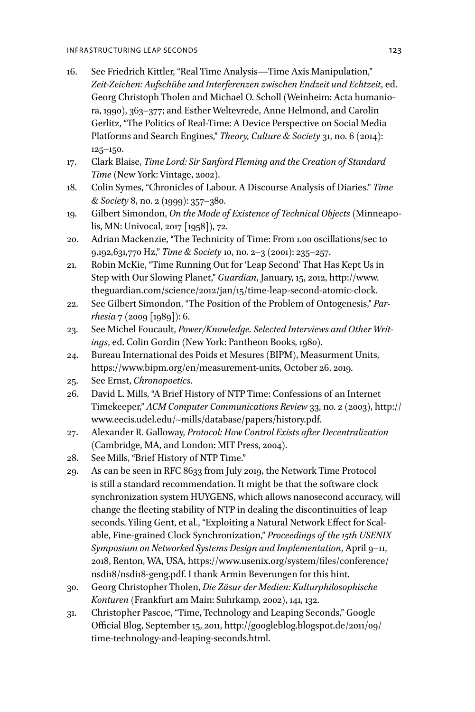- 16. See Friedrich Kittler, "Real Time Analysis—Time Axis Manipulation," *Zeit-Zeichen: Aufschübe und Interferenzen zwischen Endzeit und Echtzeit*, ed. Georg Christoph Tholen and Michael O. Scholl (Weinheim: Acta humaniora, 1990), 363–377; and Esther Weltevrede, Anne Helmond, and Carolin Gerlitz, "The Politics of Real-Time: A Device Perspective on Social Media Platforms and Search Engines," *Theory, Culture & Society* 31, no. 6 (2014): 125–150.
- 17. Clark Blaise, *Time Lord: Sir Sanford Fleming and the Creation of Standard Time* (New York: Vintage, 2002).
- 18. Colin Symes, "Chronicles of Labour. A Discourse Analysis of Diaries." *Time & Society* 8, no. 2 (1999): 357–380.
- 19. Gilbert Simondon, *On the Mode of Existence of Technical Objects* (Minneapolis, MN: Univocal, 2017 [1958]), 72.
- 20. Adrian Mackenzie, "The Technicity of Time: From 1.00 oscillations/sec to 9,192,631,770 Hz," *Time & Society* 10, no. 2–3 (2001): 235–257.
- 21. Robin McKie, "Time Running Out for 'Leap Second' That Has Kept Us in Step with Our Slowing Planet," *Guardian*, January, 15, 2012, [http://www.](http://www.theguardian.com/science/2012/jan/15/time-leap-second-atomic-clock) [theguardian.com/science/2012/jan/15/time-leap-second-atomic-clock](http://www.theguardian.com/science/2012/jan/15/time-leap-second-atomic-clock).
- 22. See Gilbert Simondon, "The Position of the Problem of Ontogenesis," *Parrhesia* 7 (2009 [1989]): 6.
- 23. See Michel Foucault, *Power/Knowledge. Selected Interviews and Other Writings*, ed. Colin Gordin (New York: Pantheon Books, 1980).
- 24. Bureau International des Poids et Mesures (BIPM), Measurment Units, [https://www.bipm.org/en/measurement-units,](https://www.bipm.org/en/measurement-units) October 26, 2019.
- 25. See Ernst, *Chronopoetics*.
- 26. David L. Mills, "A Brief History of NTP Time: Confessions of an Internet Timekeeper," *ACM Computer Communications Review* 33, no. 2 (2003), [http://](http://www.eecis.udel.edu/~mills/database/papers/history.pdf) [www.eecis.udel.edu/~mills/database/papers/history.pdf.](http://www.eecis.udel.edu/~mills/database/papers/history.pdf)
- 27. Alexander R. Galloway, *Protocol: How Control Exists after Decentralization* (Cambridge, MA, and London: MIT Press, 2004).
- 28. See Mills, "Brief History of NTP Time."
- 29. As can be seen in RFC 8633 from July 2019, the Network Time Protocol is still a standard recommendation. It might be that the software clock synchronization system HUYGENS, which allows nanosecond accuracy, will change the fleeting stability of NTP in dealing the discontinuities of leap seconds. Yiling Gent, et al., "Exploiting a Natural Network Effect for Scalable, Fine-grained Clock Synchronization," *Proceedings of the 15th USENIX Symposium on Networked Systems Design and Implementation*, April 9–11, 2018, Renton, WA, USA, [https://www.usenix.org/system/files/conference/](https://www.usenix.org/system/files/conference/nsdi18/nsdi18-geng.pdf) [nsdi18/nsdi18-geng.pdf.](https://www.usenix.org/system/files/conference/nsdi18/nsdi18-geng.pdf) I thank Armin Beverungen for this hint.
- 30. Georg Christopher Tholen, *Die Zäsur der Medien: Kulturphilosophische Konturen* (Frankfurt am Main: Suhrkamp, 2002), 141, 132.
- 31. Christopher Pascoe, "Time, Technology and Leaping Seconds," Google Official Blog, September 15, 2011, [http://googleblog.blogspot.de/2011/09/](http://googleblog.blogspot.de/2011/09/time-technology-and-leaping-seconds.html) [time-technology-and-leaping-seconds.html](http://googleblog.blogspot.de/2011/09/time-technology-and-leaping-seconds.html).